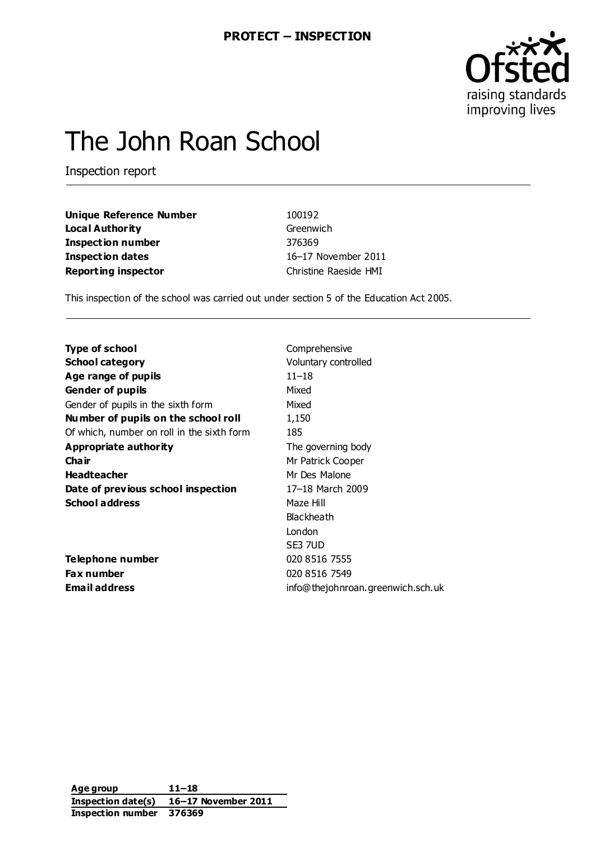

# The John Roan School

Inspection report

| Unique Reference Number    | 100192                |
|----------------------------|-----------------------|
| Loca l Authority           | Greenwich             |
| Inspection number          | 376369                |
| Inspection dates           | 16-17 November 2011   |
| <b>Reporting inspector</b> | Christine Raeside HMI |
|                            |                       |

This inspection of the school was carried out under section 5 of the Education Act 2005.

| <b>Type of school</b>                      | Comprehensive                     |
|--------------------------------------------|-----------------------------------|
| <b>School category</b>                     | Voluntary controlled              |
| Age range of pupils                        | $11 - 18$                         |
| <b>Gender of pupils</b>                    | Mixed                             |
| Gender of pupils in the sixth form         | Mixed                             |
| Number of pupils on the school roll        | 1,150                             |
| Of which, number on roll in the sixth form | 185                               |
| <b>Appropriate authority</b>               | The governing body                |
| Cha ir                                     | Mr Patrick Cooper                 |
| <b>Headteacher</b>                         | Mr Des Malone                     |
| Date of previous school inspection         | 17-18 March 2009                  |
| <b>School address</b>                      | Maze Hill                         |
|                                            | <b>Blackheath</b>                 |
|                                            | London                            |
|                                            | SE3 7UD                           |
| <b>Telephone number</b>                    | 020 8516 7555                     |
| <b>Fax number</b>                          | 020 8516 7549                     |
| <b>Email address</b>                       | info@thejohnroan.greenwich.sch.uk |
|                                            |                                   |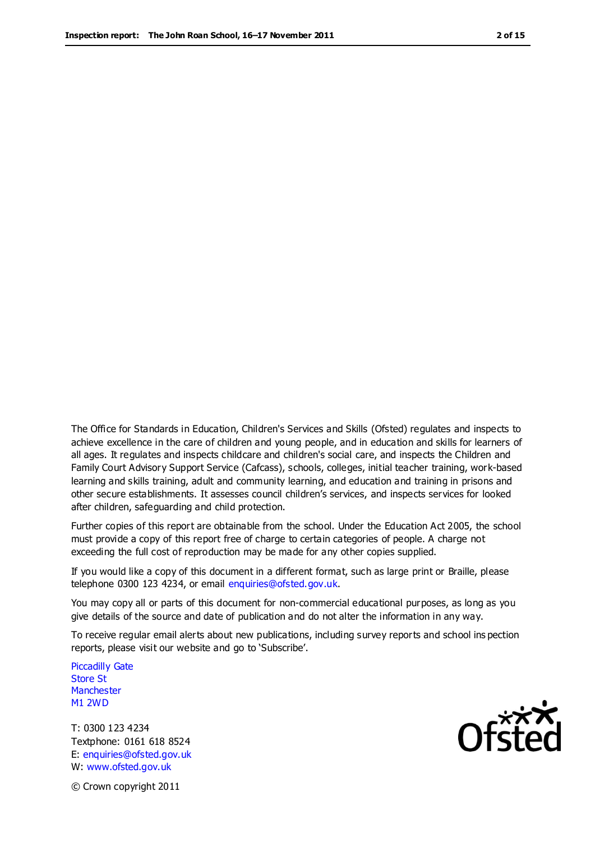The Office for Standards in Education, Children's Services and Skills (Ofsted) regulates and inspects to achieve excellence in the care of children and young people, and in education and skills for learners of all ages. It regulates and inspects childcare and children's social care, and inspects the Children and Family Court Advisory Support Service (Cafcass), schools, colleges, initial teacher training, work-based learning and skills training, adult and community learning, and education and training in prisons and other secure establishments. It assesses council children's services, and inspects services for looked after children, safeguarding and child protection.

Further copies of this report are obtainable from the school. Under the Education Act 2005, the school must provide a copy of this report free of charge to certain categories of people. A charge not exceeding the full cost of reproduction may be made for any other copies supplied.

If you would like a copy of this document in a different format, such as large print or Braille, please telephone 0300 123 4234, or email enquiries@ofsted.gov.uk.

You may copy all or parts of this document for non-commercial educational purposes, as long as you give details of the source and date of publication and do not alter the information in any way.

To receive regular email alerts about new publications, including survey reports and school ins pection reports, please visit our website and go to 'Subscribe'.

Piccadilly Gate Store St **Manchester** M1 2WD

T: 0300 123 4234 Textphone: 0161 618 8524 E: enquiries@ofsted.gov.uk W: www.ofsted.gov.uk

© Crown copyright 2011

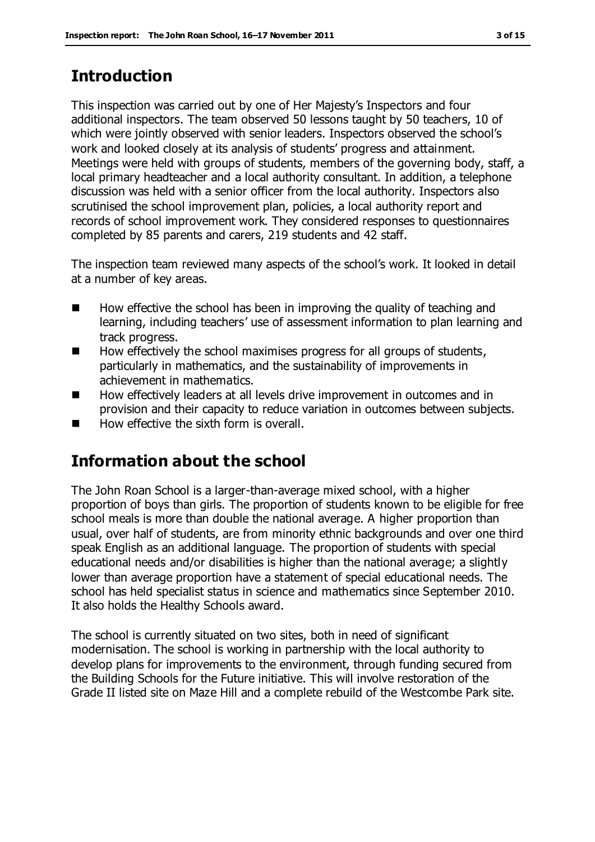# **Introduction**

This inspection was carried out by one of Her Majesty's Inspectors and four additional inspectors. The team observed 50 lessons taught by 50 teachers, 10 of which were jointly observed with senior leaders. Inspectors observed the school's work and looked closely at its analysis of students' progress and attainment. Meetings were held with groups of students, members of the governing body, staff, a local primary headteacher and a local authority consultant. In addition, a telephone discussion was held with a senior officer from the local authority. Inspectors also scrutinised the school improvement plan, policies, a local authority report and records of school improvement work. They considered responses to questionnaires completed by 85 parents and carers, 219 students and 42 staff.

The inspection team reviewed many aspects of the school's work. It looked in detail at a number of key areas.

- $\blacksquare$  How effective the school has been in improving the quality of teaching and learning, including teachers' use of assessment information to plan learning and track progress.
- How effectively the school maximises progress for all groups of students, particularly in mathematics, and the sustainability of improvements in achievement in mathematics.
- How effectively leaders at all levels drive improvement in outcomes and in provision and their capacity to reduce variation in outcomes between subjects.
- How effective the sixth form is overall.

# **Information about the school**

The John Roan School is a larger-than-average mixed school, with a higher proportion of boys than girls. The proportion of students known to be eligible for free school meals is more than double the national average. A higher proportion than usual, over half of students, are from minority ethnic backgrounds and over one third speak English as an additional language. The proportion of students with special educational needs and/or disabilities is higher than the national average; a slightly lower than average proportion have a statement of special educational needs. The school has held specialist status in science and mathematics since September 2010. It also holds the Healthy Schools award.

The school is currently situated on two sites, both in need of significant modernisation. The school is working in partnership with the local authority to develop plans for improvements to the environment, through funding secured from the Building Schools for the Future initiative. This will involve restoration of the Grade II listed site on Maze Hill and a complete rebuild of the Westcombe Park site.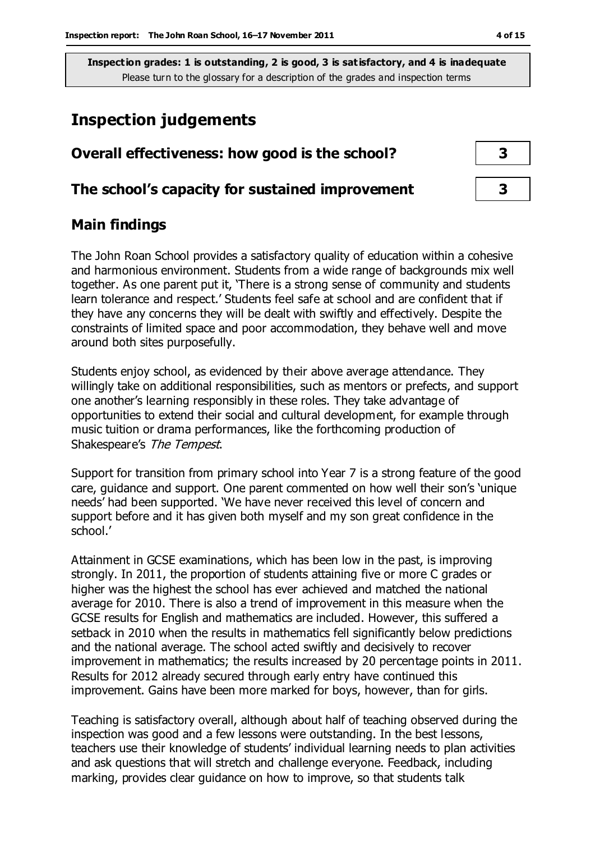## **Inspection judgements**

| Overall effectiveness: how good is the school?  |  |
|-------------------------------------------------|--|
| The school's capacity for sustained improvement |  |

#### **Main findings**

The John Roan School provides a satisfactory quality of education within a cohesive and harmonious environment. Students from a wide range of backgrounds mix well together. As one parent put it, 'There is a strong sense of community and students learn tolerance and respect.' Students feel safe at school and are confident that if they have any concerns they will be dealt with swiftly and effectively. Despite the constraints of limited space and poor accommodation, they behave well and move around both sites purposefully.

Students enjoy school, as evidenced by their above average attendance. They willingly take on additional responsibilities, such as mentors or prefects, and support one another's learning responsibly in these roles. They take advantage of opportunities to extend their social and cultural development, for example through music tuition or drama performances, like the forthcoming production of Shakespeare's The Tempest.

Support for transition from primary school into Year 7 is a strong feature of the good care, guidance and support. One parent commented on how well their son's 'unique needs' had been supported. 'We have never received this level of concern and support before and it has given both myself and my son great confidence in the school.'

Attainment in GCSE examinations, which has been low in the past, is improving strongly. In 2011, the proportion of students attaining five or more C grades or higher was the highest the school has ever achieved and matched the national average for 2010. There is also a trend of improvement in this measure when the GCSE results for English and mathematics are included. However, this suffered a setback in 2010 when the results in mathematics fell significantly below predictions and the national average. The school acted swiftly and decisively to recover improvement in mathematics; the results increased by 20 percentage points in 2011. Results for 2012 already secured through early entry have continued this improvement. Gains have been more marked for boys, however, than for girls.

Teaching is satisfactory overall, although about half of teaching observed during the inspection was good and a few lessons were outstanding. In the best lessons, teachers use their knowledge of students' individual learning needs to plan activities and ask questions that will stretch and challenge everyone. Feedback, including marking, provides clear guidance on how to improve, so that students talk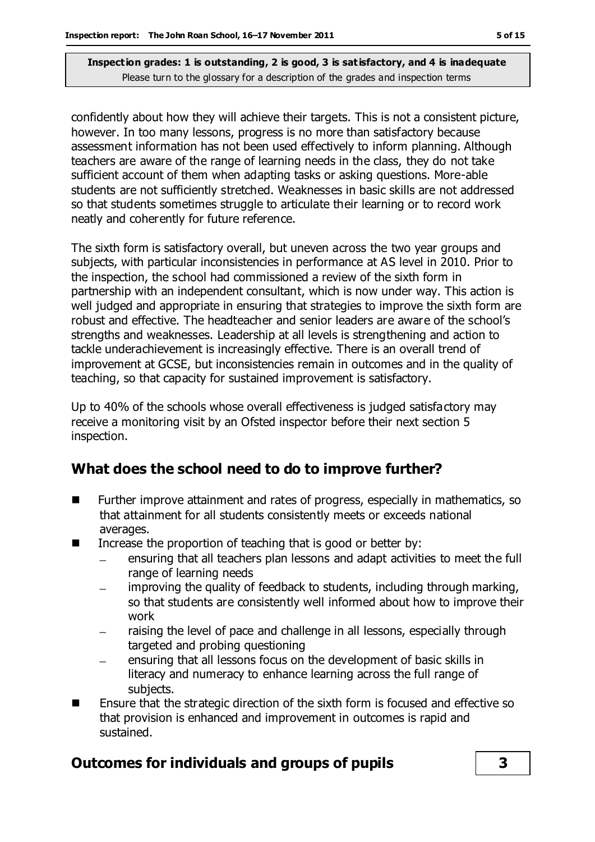confidently about how they will achieve their targets. This is not a consistent picture, however. In too many lessons, progress is no more than satisfactory because assessment information has not been used effectively to inform planning. Although teachers are aware of the range of learning needs in the class, they do not take sufficient account of them when adapting tasks or asking questions. More-able students are not sufficiently stretched. Weaknesses in basic skills are not addressed so that students sometimes struggle to articulate their learning or to record work neatly and coherently for future reference.

The sixth form is satisfactory overall, but uneven across the two year groups and subjects, with particular inconsistencies in performance at AS level in 2010. Prior to the inspection, the school had commissioned a review of the sixth form in partnership with an independent consultant, which is now under way. This action is well judged and appropriate in ensuring that strategies to improve the sixth form are robust and effective. The headteacher and senior leaders are aware of the school's strengths and weaknesses. Leadership at all levels is strengthening and action to tackle underachievement is increasingly effective. There is an overall trend of improvement at GCSE, but inconsistencies remain in outcomes and in the quality of teaching, so that capacity for sustained improvement is satisfactory.

Up to 40% of the schools whose overall effectiveness is judged satisfactory may receive a monitoring visit by an Ofsted inspector before their next section 5 inspection.

## **What does the school need to do to improve further?**

- **Further improve attainment and rates of progress, especially in mathematics, so** that attainment for all students consistently meets or exceeds national averages.
- Increase the proportion of teaching that is good or better by:
	- ensuring that all teachers plan lessons and adapt activities to meet the full range of learning needs
	- improving the quality of feedback to students, including through marking, so that students are consistently well informed about how to improve their work
	- raising the level of pace and challenge in all lessons, especially through targeted and probing questioning
	- ensuring that all lessons focus on the development of basic skills in literacy and numeracy to enhance learning across the full range of subjects.
- Ensure that the strategic direction of the sixth form is focused and effective so that provision is enhanced and improvement in outcomes is rapid and sustained.

## **Outcomes for individuals and groups of pupils 3**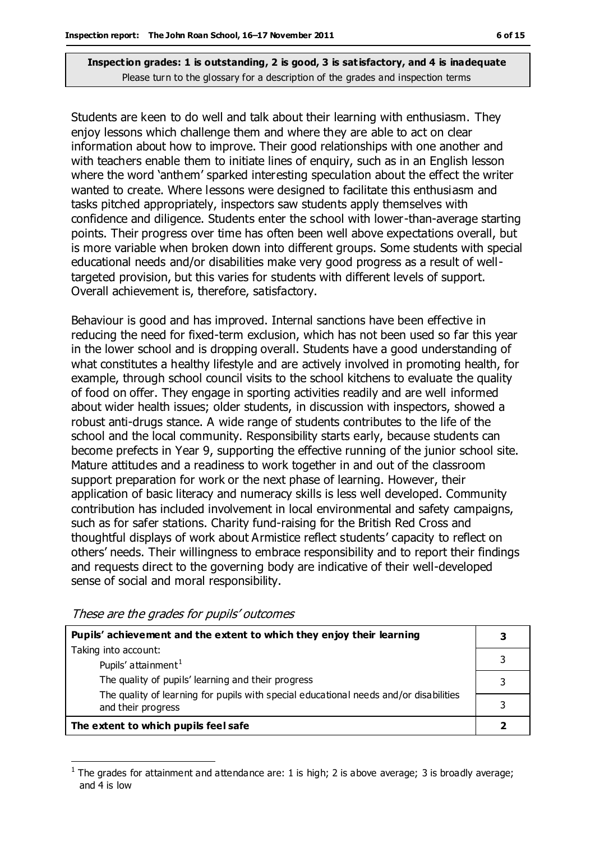Students are keen to do well and talk about their learning with enthusiasm. They enjoy lessons which challenge them and where they are able to act on clear information about how to improve. Their good relationships with one another and with teachers enable them to initiate lines of enquiry, such as in an English lesson where the word 'anthem' sparked interesting speculation about the effect the writer wanted to create. Where lessons were designed to facilitate this enthusiasm and tasks pitched appropriately, inspectors saw students apply themselves with confidence and diligence. Students enter the school with lower-than-average starting points. Their progress over time has often been well above expectations overall, but is more variable when broken down into different groups. Some students with special educational needs and/or disabilities make very good progress as a result of welltargeted provision, but this varies for students with different levels of support. Overall achievement is, therefore, satisfactory.

Behaviour is good and has improved. Internal sanctions have been effective in reducing the need for fixed-term exclusion, which has not been used so far this year in the lower school and is dropping overall. Students have a good understanding of what constitutes a healthy lifestyle and are actively involved in promoting health, for example, through school council visits to the school kitchens to evaluate the quality of food on offer. They engage in sporting activities readily and are well informed about wider health issues; older students, in discussion with inspectors, showed a robust anti-drugs stance. A wide range of students contributes to the life of the school and the local community. Responsibility starts early, because students can become prefects in Year 9, supporting the effective running of the junior school site. Mature attitudes and a readiness to work together in and out of the classroom support preparation for work or the next phase of learning. However, their application of basic literacy and numeracy skills is less well developed. Community contribution has included involvement in local environmental and safety campaigns, such as for safer stations. Charity fund-raising for the British Red Cross and thoughtful displays of work about Armistice reflect students' capacity to reflect on others' needs. Their willingness to embrace responsibility and to report their findings and requests direct to the governing body are indicative of their well-developed sense of social and moral responsibility.

These are the grades for pupils' outcomes

| Pupils' achievement and the extent to which they enjoy their learning                                       |  |
|-------------------------------------------------------------------------------------------------------------|--|
| Taking into account:                                                                                        |  |
| Pupils' attainment <sup>1</sup>                                                                             |  |
| The quality of pupils' learning and their progress                                                          |  |
| The quality of learning for pupils with special educational needs and/or disabilities<br>and their progress |  |
| The extent to which pupils feel safe                                                                        |  |

 $\overline{a}$ 1 The grades for attainment and attendance are: 1 is high; 2 is above average; 3 is broadly average; and 4 is low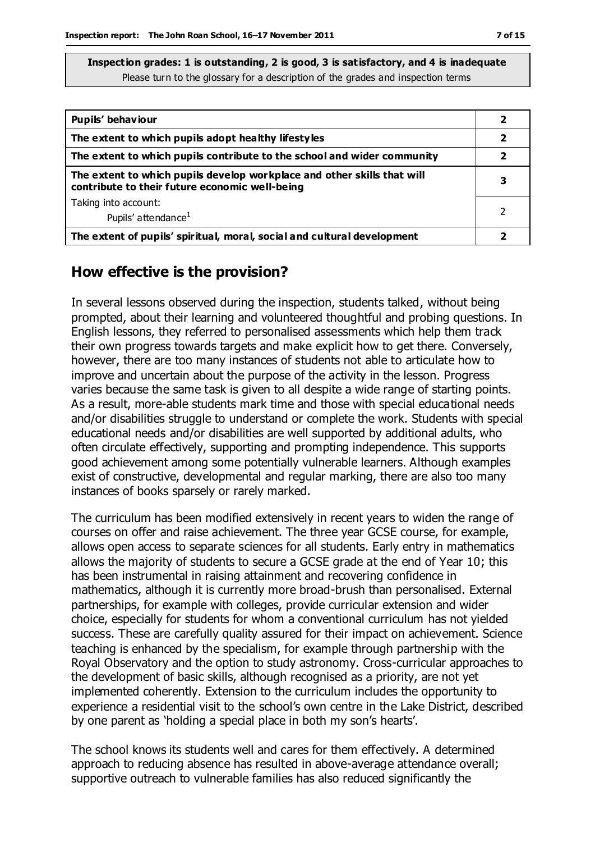| Pupils' behaviour                                                                                                         |   |
|---------------------------------------------------------------------------------------------------------------------------|---|
| The extent to which pupils adopt healthy lifestyles                                                                       | 2 |
| The extent to which pupils contribute to the school and wider community                                                   |   |
| The extent to which pupils develop workplace and other skills that will<br>contribute to their future economic well-being | 3 |
| Taking into account:                                                                                                      |   |
| Pupils' attendance <sup>1</sup>                                                                                           |   |
| The extent of pupils' spiritual, moral, social and cultural development                                                   |   |

#### **How effective is the provision?**

In several lessons observed during the inspection, students talked, without being prompted, about their learning and volunteered thoughtful and probing questions. In English lessons, they referred to personalised assessments which help them track their own progress towards targets and make explicit how to get there. Conversely, however, there are too many instances of students not able to articulate how to improve and uncertain about the purpose of the activity in the lesson. Progress varies because the same task is given to all despite a wide range of starting points. As a result, more-able students mark time and those with special educational needs and/or disabilities struggle to understand or complete the work. Students with special educational needs and/or disabilities are well supported by additional adults, who often circulate effectively, supporting and prompting independence. This supports good achievement among some potentially vulnerable learners. Although examples exist of constructive, developmental and regular marking, there are also too many instances of books sparsely or rarely marked.

The curriculum has been modified extensively in recent years to widen the range of courses on offer and raise achievement. The three year GCSE course, for example, allows open access to separate sciences for all students. Early entry in mathematics allows the majority of students to secure a GCSE grade at the end of Year 10; this has been instrumental in raising attainment and recovering confidence in mathematics, although it is currently more broad-brush than personalised. External partnerships, for example with colleges, provide curricular extension and wider choice, especially for students for whom a conventional curriculum has not yielded success. These are carefully quality assured for their impact on achievement. Science teaching is enhanced by the specialism, for example through partnership with the Royal Observatory and the option to study astronomy. Cross-curricular approaches to the development of basic skills, although recognised as a priority, are not yet implemented coherently. Extension to the curriculum includes the opportunity to experience a residential visit to the school's own centre in the Lake District, described by one parent as 'holding a special place in both my son's hearts'.

The school knows its students well and cares for them effectively. A determined approach to reducing absence has resulted in above-average attendance overall; supportive outreach to vulnerable families has also reduced significantly the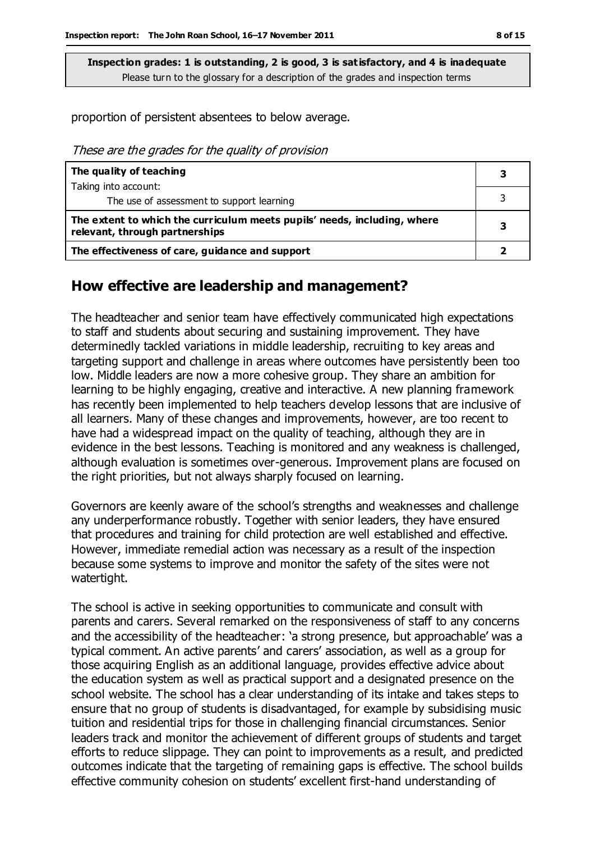proportion of persistent absentees to below average.

These are the grades for the quality of provision

| The quality of teaching                                                                                    | з |
|------------------------------------------------------------------------------------------------------------|---|
| Taking into account:                                                                                       |   |
| The use of assessment to support learning                                                                  |   |
| The extent to which the curriculum meets pupils' needs, including, where<br>relevant, through partnerships | 3 |
| The effectiveness of care, guidance and support                                                            |   |

#### **How effective are leadership and management?**

The headteacher and senior team have effectively communicated high expectations to staff and students about securing and sustaining improvement. They have determinedly tackled variations in middle leadership, recruiting to key areas and targeting support and challenge in areas where outcomes have persistently been too low. Middle leaders are now a more cohesive group. They share an ambition for learning to be highly engaging, creative and interactive. A new planning framework has recently been implemented to help teachers develop lessons that are inclusive of all learners. Many of these changes and improvements, however, are too recent to have had a widespread impact on the quality of teaching, although they are in evidence in the best lessons. Teaching is monitored and any weakness is challenged, although evaluation is sometimes over-generous. Improvement plans are focused on the right priorities, but not always sharply focused on learning.

Governors are keenly aware of the school's strengths and weaknesses and challenge any underperformance robustly. Together with senior leaders, they have ensured that procedures and training for child protection are well established and effective. However, immediate remedial action was necessary as a result of the inspection because some systems to improve and monitor the safety of the sites were not watertight.

The school is active in seeking opportunities to communicate and consult with parents and carers. Several remarked on the responsiveness of staff to any concerns and the accessibility of the headteacher: 'a strong presence, but approachable' was a typical comment. An active parents' and carers' association, as well as a group for those acquiring English as an additional language, provides effective advice about the education system as well as practical support and a designated presence on the school website. The school has a clear understanding of its intake and takes steps to ensure that no group of students is disadvantaged, for example by subsidising music tuition and residential trips for those in challenging financial circumstances. Senior leaders track and monitor the achievement of different groups of students and target efforts to reduce slippage. They can point to improvements as a result, and predicted outcomes indicate that the targeting of remaining gaps is effective. The school builds effective community cohesion on students' excellent first-hand understanding of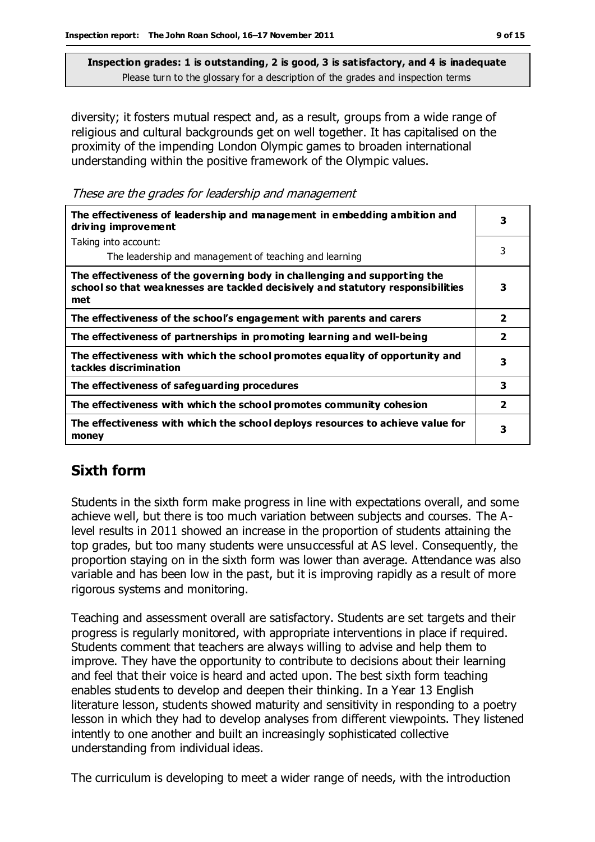diversity; it fosters mutual respect and, as a result, groups from a wide range of religious and cultural backgrounds get on well together. It has capitalised on the proximity of the impending London Olympic games to broaden international understanding within the positive framework of the Olympic values.

These are the grades for leadership and management

| The effectiveness of leadership and management in embedding ambition and<br>driving improvement                                                                     | 3              |
|---------------------------------------------------------------------------------------------------------------------------------------------------------------------|----------------|
| Taking into account:                                                                                                                                                |                |
| The leadership and management of teaching and learning                                                                                                              | 3              |
| The effectiveness of the governing body in challenging and supporting the<br>school so that weaknesses are tackled decisively and statutory responsibilities<br>met | 3              |
| The effectiveness of the school's engagement with parents and carers                                                                                                | $\overline{2}$ |
| The effectiveness of partnerships in promoting learning and well-being                                                                                              | $\overline{2}$ |
| The effectiveness with which the school promotes equality of opportunity and<br>tackles discrimination                                                              | 3              |
| The effectiveness of safeguarding procedures                                                                                                                        | 3              |
| The effectiveness with which the school promotes community cohesion                                                                                                 | $\overline{2}$ |
| The effectiveness with which the school deploys resources to achieve value for<br>money                                                                             | 3              |

## **Sixth form**

Students in the sixth form make progress in line with expectations overall, and some achieve well, but there is too much variation between subjects and courses. The Alevel results in 2011 showed an increase in the proportion of students attaining the top grades, but too many students were unsuccessful at AS level. Consequently, the proportion staying on in the sixth form was lower than average. Attendance was also variable and has been low in the past, but it is improving rapidly as a result of more rigorous systems and monitoring.

Teaching and assessment overall are satisfactory. Students are set targets and their progress is regularly monitored, with appropriate interventions in place if required. Students comment that teachers are always willing to advise and help them to improve. They have the opportunity to contribute to decisions about their learning and feel that their voice is heard and acted upon. The best sixth form teaching enables students to develop and deepen their thinking. In a Year 13 English literature lesson, students showed maturity and sensitivity in responding to a poetry lesson in which they had to develop analyses from different viewpoints. They listened intently to one another and built an increasingly sophisticated collective understanding from individual ideas.

The curriculum is developing to meet a wider range of needs, with the introduction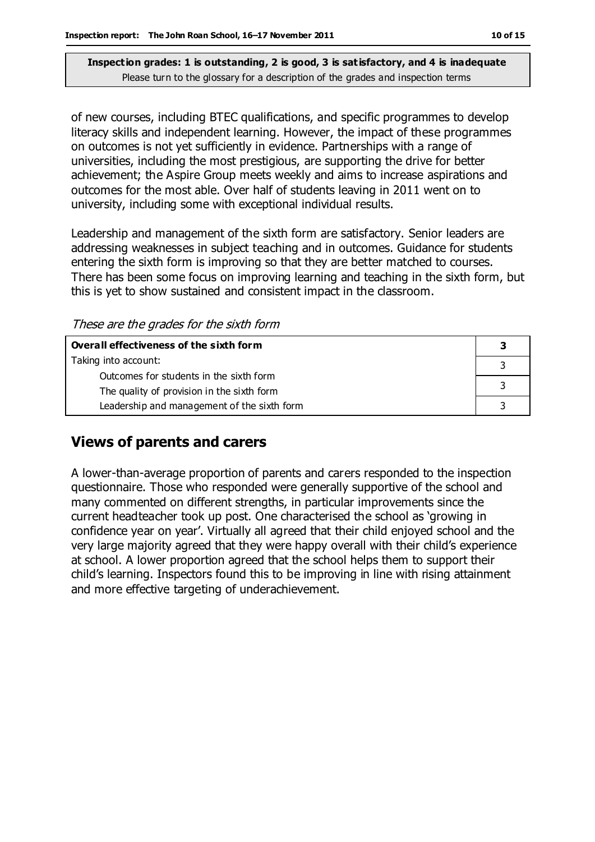of new courses, including BTEC qualifications, and specific programmes to develop literacy skills and independent learning. However, the impact of these programmes on outcomes is not yet sufficiently in evidence. Partnerships with a range of universities, including the most prestigious, are supporting the drive for better achievement; the Aspire Group meets weekly and aims to increase aspirations and outcomes for the most able. Over half of students leaving in 2011 went on to university, including some with exceptional individual results.

Leadership and management of the sixth form are satisfactory. Senior leaders are addressing weaknesses in subject teaching and in outcomes. Guidance for students entering the sixth form is improving so that they are better matched to courses. There has been some focus on improving learning and teaching in the sixth form, but this is yet to show sustained and consistent impact in the classroom.

These are the grades for the sixth form

| Overall effectiveness of the sixth form     |  |  |
|---------------------------------------------|--|--|
| Taking into account:                        |  |  |
| Outcomes for students in the sixth form     |  |  |
| The quality of provision in the sixth form  |  |  |
| Leadership and management of the sixth form |  |  |

#### **Views of parents and carers**

A lower-than-average proportion of parents and carers responded to the inspection questionnaire. Those who responded were generally supportive of the school and many commented on different strengths, in particular improvements since the current headteacher took up post. One characterised the school as 'growing in confidence year on year'. Virtually all agreed that their child enjoyed school and the very large majority agreed that they were happy overall with their child's experience at school. A lower proportion agreed that the school helps them to support their child's learning. Inspectors found this to be improving in line with rising attainment and more effective targeting of underachievement.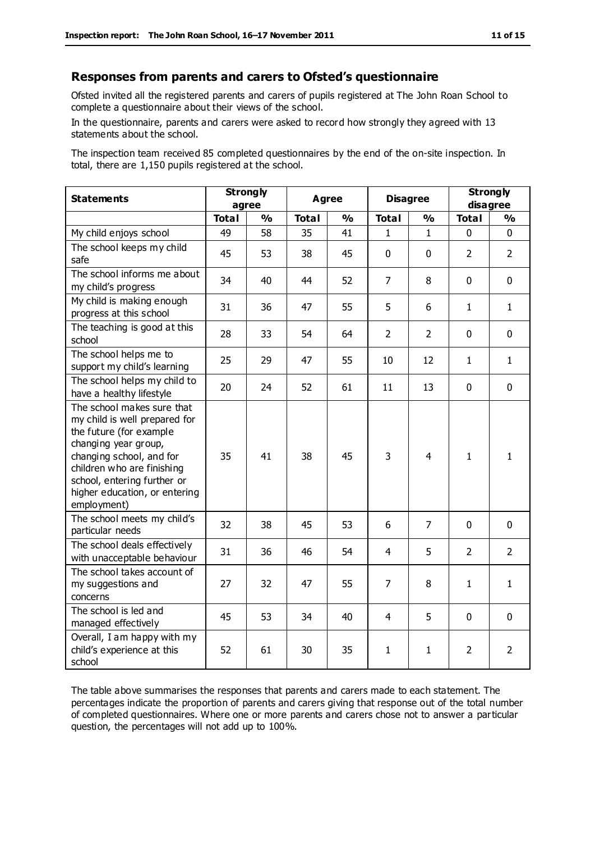#### **Responses from parents and carers to Ofsted's questionnaire**

Ofsted invited all the registered parents and carers of pupils registered at The John Roan School to complete a questionnaire about their views of the school.

In the questionnaire, parents and carers were asked to record how strongly they agreed with 13 statements about the school.

The inspection team received 85 completed questionnaires by the end of the on-site inspection. In total, there are 1,150 pupils registered at the school.

| <b>Statements</b>                                                                                                                                                                                                                                       | <b>Strongly</b><br>agree |               | <b>Agree</b> |               | <b>Disagree</b> |                | <b>Strongly</b><br>disagree |                |
|---------------------------------------------------------------------------------------------------------------------------------------------------------------------------------------------------------------------------------------------------------|--------------------------|---------------|--------------|---------------|-----------------|----------------|-----------------------------|----------------|
|                                                                                                                                                                                                                                                         | <b>Total</b>             | $\frac{0}{0}$ | <b>Total</b> | $\frac{0}{0}$ | <b>Total</b>    | $\frac{0}{0}$  | <b>Total</b>                | $\frac{1}{2}$  |
| My child enjoys school                                                                                                                                                                                                                                  | 49                       | 58            | 35           | 41            | 1               | 1              | 0                           | $\Omega$       |
| The school keeps my child<br>safe                                                                                                                                                                                                                       | 45                       | 53            | 38           | 45            | $\mathbf{0}$    | $\mathbf 0$    | $\overline{2}$              | $\overline{2}$ |
| The school informs me about<br>my child's progress                                                                                                                                                                                                      | 34                       | 40            | 44           | 52            | $\overline{7}$  | 8              | $\mathbf 0$                 | $\mathbf 0$    |
| My child is making enough<br>progress at this school                                                                                                                                                                                                    | 31                       | 36            | 47           | 55            | 5               | 6              | $\mathbf{1}$                | $\mathbf{1}$   |
| The teaching is good at this<br>school                                                                                                                                                                                                                  | 28                       | 33            | 54           | 64            | $\overline{2}$  | $\overline{2}$ | $\mathbf 0$                 | $\mathbf 0$    |
| The school helps me to<br>support my child's learning                                                                                                                                                                                                   | 25                       | 29            | 47           | 55            | 10              | 12             | $\mathbf{1}$                | $\mathbf{1}$   |
| The school helps my child to<br>have a healthy lifestyle                                                                                                                                                                                                | 20                       | 24            | 52           | 61            | 11              | 13             | $\mathbf 0$                 | $\mathbf 0$    |
| The school makes sure that<br>my child is well prepared for<br>the future (for example<br>changing year group,<br>changing school, and for<br>children who are finishing<br>school, entering further or<br>higher education, or entering<br>employment) | 35                       | 41            | 38           | 45            | 3               | $\overline{4}$ | $\mathbf{1}$                | $\mathbf{1}$   |
| The school meets my child's<br>particular needs                                                                                                                                                                                                         | 32                       | 38            | 45           | 53            | 6               | $\overline{7}$ | $\mathbf 0$                 | $\mathbf 0$    |
| The school deals effectively<br>with unacceptable behaviour                                                                                                                                                                                             | 31                       | 36            | 46           | 54            | 4               | 5              | $\overline{2}$              | $\overline{2}$ |
| The school takes account of<br>my suggestions and<br>concerns                                                                                                                                                                                           | 27                       | 32            | 47           | 55            | $\overline{7}$  | 8              | $\mathbf{1}$                | $\mathbf{1}$   |
| The school is led and<br>managed effectively                                                                                                                                                                                                            | 45                       | 53            | 34           | 40            | $\overline{4}$  | 5              | $\mathbf 0$                 | $\mathbf 0$    |
| Overall, I am happy with my<br>child's experience at this<br>school                                                                                                                                                                                     | 52                       | 61            | 30           | 35            | $\mathbf{1}$    | 1              | $\overline{2}$              | $\overline{2}$ |

The table above summarises the responses that parents and carers made to each statement. The percentages indicate the proportion of parents and carers giving that response out of the total number of completed questionnaires. Where one or more parents and carers chose not to answer a particular question, the percentages will not add up to 100%.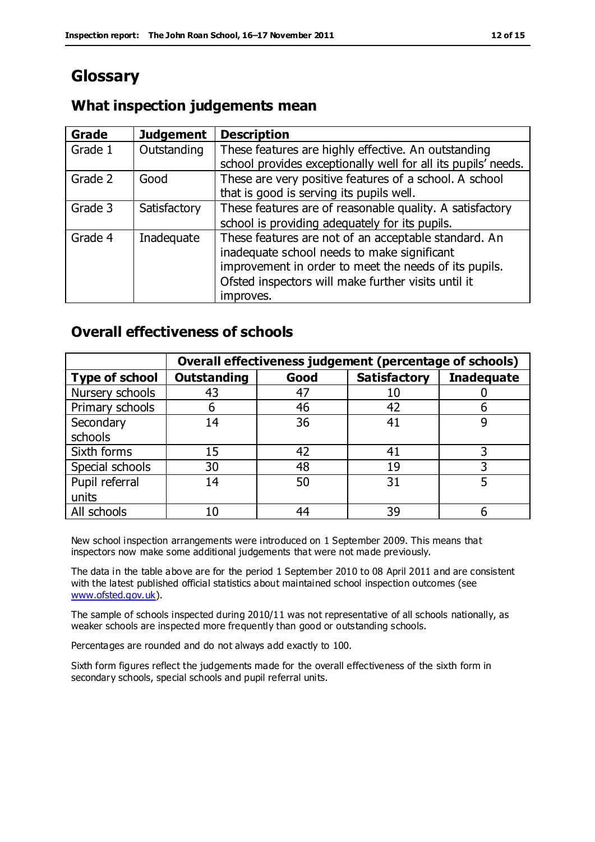## **Glossary**

#### **What inspection judgements mean**

| <b>Grade</b> | <b>Judgement</b> | <b>Description</b>                                            |
|--------------|------------------|---------------------------------------------------------------|
| Grade 1      | Outstanding      | These features are highly effective. An outstanding           |
|              |                  | school provides exceptionally well for all its pupils' needs. |
| Grade 2      | Good             | These are very positive features of a school. A school        |
|              |                  | that is good is serving its pupils well.                      |
| Grade 3      | Satisfactory     | These features are of reasonable quality. A satisfactory      |
|              |                  | school is providing adequately for its pupils.                |
| Grade 4      | Inadequate       | These features are not of an acceptable standard. An          |
|              |                  | inadequate school needs to make significant                   |
|              |                  | improvement in order to meet the needs of its pupils.         |
|              |                  | Ofsted inspectors will make further visits until it           |
|              |                  | improves.                                                     |

#### **Overall effectiveness of schools**

|                       | Overall effectiveness judgement (percentage of schools) |      |                     |                   |
|-----------------------|---------------------------------------------------------|------|---------------------|-------------------|
| <b>Type of school</b> | <b>Outstanding</b>                                      | Good | <b>Satisfactory</b> | <b>Inadequate</b> |
| Nursery schools       | 43                                                      | 47   | 10                  |                   |
| Primary schools       | 6                                                       | 46   | 42                  |                   |
| Secondary             | 14                                                      | 36   | 41                  |                   |
| schools               |                                                         |      |                     |                   |
| Sixth forms           | 15                                                      | 42   | 41                  | 3                 |
| Special schools       | 30                                                      | 48   | 19                  |                   |
| Pupil referral        | 14                                                      | 50   | 31                  |                   |
| units                 |                                                         |      |                     |                   |
| All schools           | 10                                                      | 44   | 39                  |                   |

New school inspection arrangements were introduced on 1 September 2009. This means that inspectors now make some additional judgements that were not made previously.

The data in the table above are for the period 1 September 2010 to 08 April 2011 and are consistent with the latest published official statistics about maintained school inspection outcomes (see [www.ofsted.gov.uk\)](http://www.ofsted.gov.uk/).

The sample of schools inspected during 2010/11 was not representative of all schools nationally, as weaker schools are inspected more frequently than good or outstanding schools.

Percentages are rounded and do not always add exactly to 100.

Sixth form figures reflect the judgements made for the overall effectiveness of the sixth form in secondary schools, special schools and pupil referral units.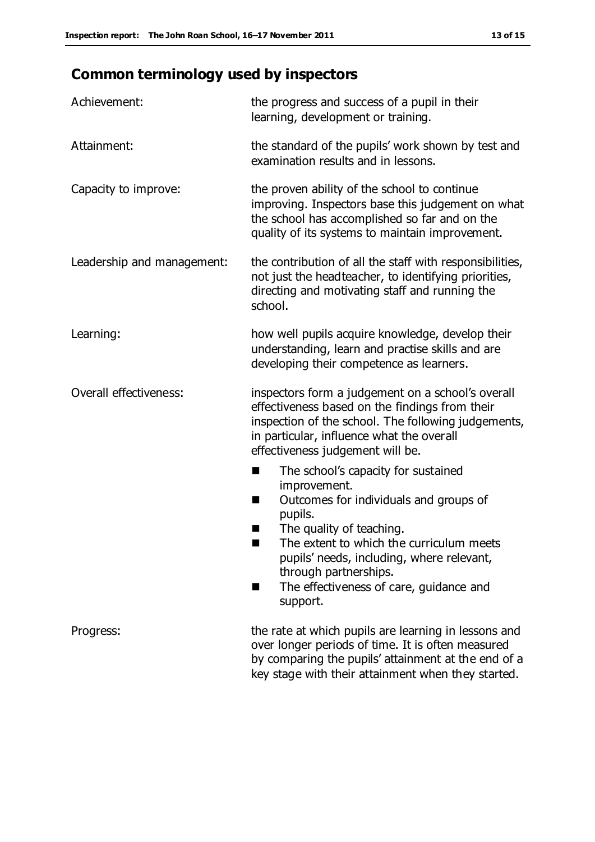# **Common terminology used by inspectors**

| Achievement:               | the progress and success of a pupil in their<br>learning, development or training.                                                                                                                                                                                                                                 |  |  |
|----------------------------|--------------------------------------------------------------------------------------------------------------------------------------------------------------------------------------------------------------------------------------------------------------------------------------------------------------------|--|--|
| Attainment:                | the standard of the pupils' work shown by test and<br>examination results and in lessons.                                                                                                                                                                                                                          |  |  |
| Capacity to improve:       | the proven ability of the school to continue<br>improving. Inspectors base this judgement on what<br>the school has accomplished so far and on the<br>quality of its systems to maintain improvement.                                                                                                              |  |  |
| Leadership and management: | the contribution of all the staff with responsibilities,<br>not just the headteacher, to identifying priorities,<br>directing and motivating staff and running the<br>school.                                                                                                                                      |  |  |
| Learning:                  | how well pupils acquire knowledge, develop their<br>understanding, learn and practise skills and are<br>developing their competence as learners.                                                                                                                                                                   |  |  |
| Overall effectiveness:     | inspectors form a judgement on a school's overall<br>effectiveness based on the findings from their<br>inspection of the school. The following judgements,<br>in particular, influence what the overall<br>effectiveness judgement will be.                                                                        |  |  |
|                            | The school's capacity for sustained<br>improvement.<br>Outcomes for individuals and groups of<br>ш<br>pupils.<br>The quality of teaching.<br>The extent to which the curriculum meets<br>pupils' needs, including, where relevant,<br>through partnerships.<br>The effectiveness of care, guidance and<br>support. |  |  |
| Progress:                  | the rate at which pupils are learning in lessons and<br>over longer periods of time. It is often measured<br>by comparing the pupils' attainment at the end of a<br>key stage with their attainment when they started.                                                                                             |  |  |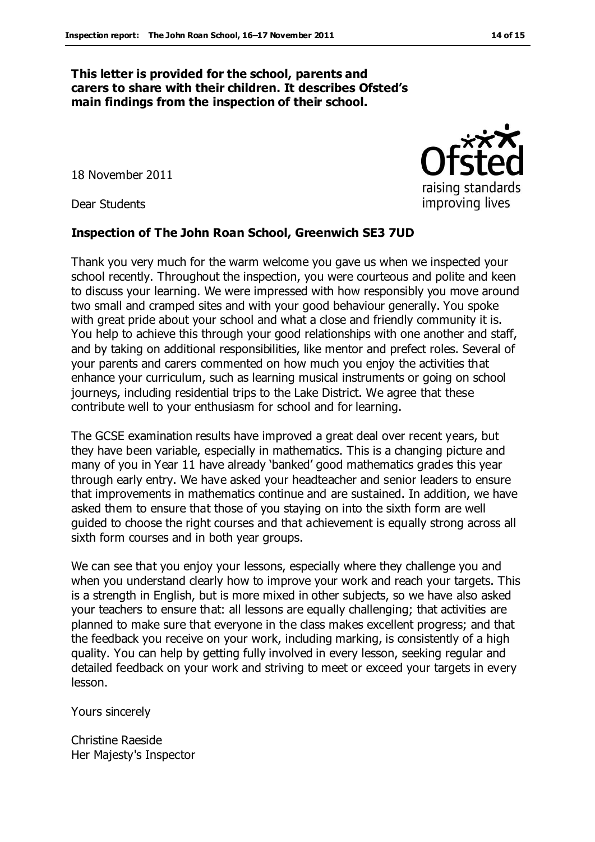#### **This letter is provided for the school, parents and carers to share with their children. It describes Ofsted's main findings from the inspection of their school.**

18 November 2011

Dear Students

#### **Inspection of The John Roan School, Greenwich SE3 7UD**

Thank you very much for the warm welcome you gave us when we inspected your school recently. Throughout the inspection, you were courteous and polite and keen to discuss your learning. We were impressed with how responsibly you move around two small and cramped sites and with your good behaviour generally. You spoke with great pride about your school and what a close and friendly community it is. You help to achieve this through your good relationships with one another and staff, and by taking on additional responsibilities, like mentor and prefect roles. Several of your parents and carers commented on how much you enjoy the activities that enhance your curriculum, such as learning musical instruments or going on school journeys, including residential trips to the Lake District. We agree that these contribute well to your enthusiasm for school and for learning.

The GCSE examination results have improved a great deal over recent years, but they have been variable, especially in mathematics. This is a changing picture and many of you in Year 11 have already 'banked' good mathematics grades this year through early entry. We have asked your headteacher and senior leaders to ensure that improvements in mathematics continue and are sustained. In addition, we have asked them to ensure that those of you staying on into the sixth form are well guided to choose the right courses and that achievement is equally strong across all sixth form courses and in both year groups.

We can see that you enjoy your lessons, especially where they challenge you and when you understand clearly how to improve your work and reach your targets. This is a strength in English, but is more mixed in other subjects, so we have also asked your teachers to ensure that: all lessons are equally challenging; that activities are planned to make sure that everyone in the class makes excellent progress; and that the feedback you receive on your work, including marking, is consistently of a high quality. You can help by getting fully involved in every lesson, seeking regular and detailed feedback on your work and striving to meet or exceed your targets in every lesson.

Yours sincerely

Christine Raeside Her Majesty's Inspector